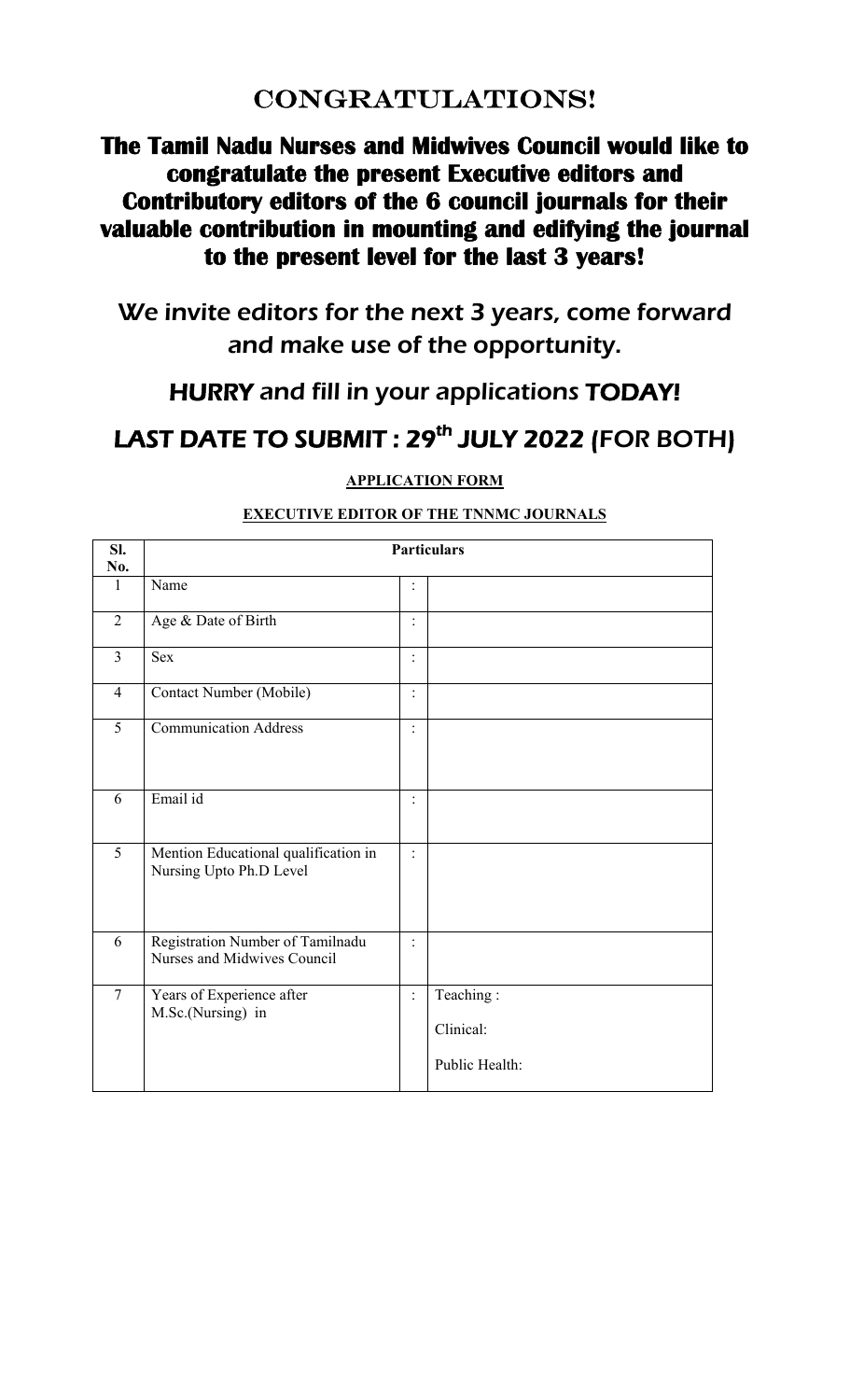# CONGRATULATIONS!

# **The Tamil Nadu Nurses and Midwives Council would like to congratulate the present Executive editors and Contributory editors of the 6 council journals for their valuable contribution in mounting and edifying the journal to the present level for the last 3 years!**

We invite editors for the next 3 years, come forward and make use of the opportunity.

## HURRY and fill in your applications TODAY!

# LAST DATE TO SUBMIT : 29<sup>th</sup> JULY 2022 (FOR BOTH)

**APPLICATION FORM** 

| Sl.<br>No.     | <b>Particulars</b>                                              |                      |                                          |
|----------------|-----------------------------------------------------------------|----------------------|------------------------------------------|
| $\mathbf{1}$   | Name                                                            | :                    |                                          |
| $\overline{2}$ | Age & Date of Birth                                             | $\ddot{\phantom{a}}$ |                                          |
| $\overline{3}$ | <b>Sex</b>                                                      | $\ddot{\cdot}$       |                                          |
| $\overline{4}$ | Contact Number (Mobile)                                         | $\ddot{\cdot}$       |                                          |
| 5              | <b>Communication Address</b>                                    | :                    |                                          |
| 6              | Email id                                                        | $\ddot{\cdot}$       |                                          |
| $\overline{5}$ | Mention Educational qualification in<br>Nursing Upto Ph.D Level | $\ddot{\cdot}$       |                                          |
| 6              | Registration Number of Tamilnadu<br>Nurses and Midwives Council | $\vdots$             |                                          |
| $\overline{7}$ | Years of Experience after<br>M.Sc.(Nursing) in                  | $\ddot{\cdot}$       | Teaching:<br>Clinical:<br>Public Health: |

### **EXECUTIVE EDITOR OF THE TNNMC JOURNALS**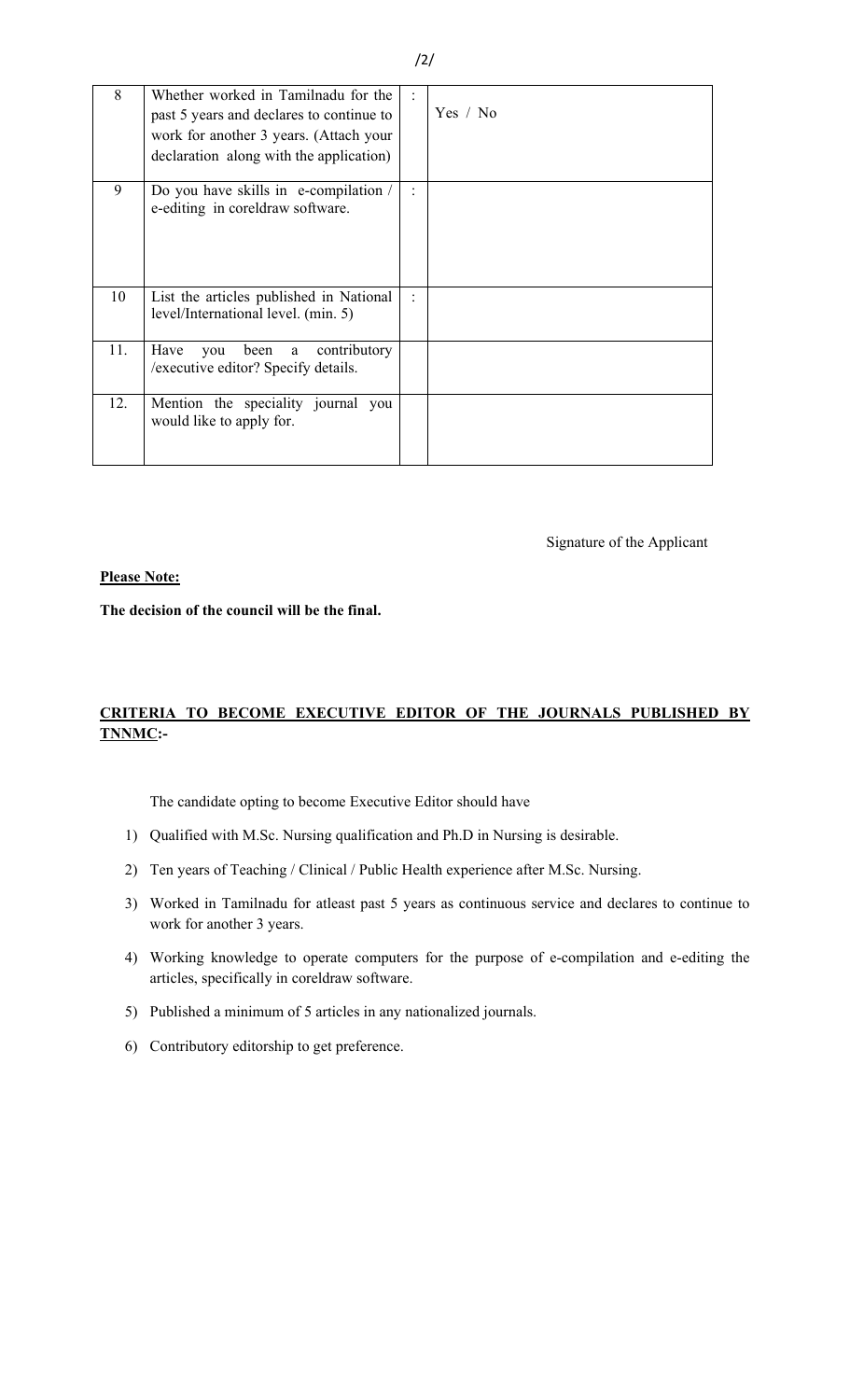| 8   | Whether worked in Tamilnadu for the<br>past 5 years and declares to continue to<br>work for another 3 years. (Attach your<br>declaration along with the application) |                      | Yes / No |
|-----|----------------------------------------------------------------------------------------------------------------------------------------------------------------------|----------------------|----------|
| 9   | Do you have skills in e-compilation /<br>e-editing in coreldraw software.                                                                                            |                      |          |
| 10  | List the articles published in National<br>level/International level. (min. 5)                                                                                       | $\ddot{\phantom{a}}$ |          |
| 11. | contributory<br>Have<br>been a<br>you<br>/executive editor? Specify details.                                                                                         |                      |          |
| 12. | Mention the speciality journal you<br>would like to apply for.                                                                                                       |                      |          |

Signature of the Applicant

#### **Please Note:**

**The decision of the council will be the final.** 

#### **CRITERIA TO BECOME EXECUTIVE EDITOR OF THE JOURNALS PUBLISHED BY TNNMC:-**

The candidate opting to become Executive Editor should have

- 1) Qualified with M.Sc. Nursing qualification and Ph.D in Nursing is desirable.
- 2) Ten years of Teaching / Clinical / Public Health experience after M.Sc. Nursing.
- 3) Worked in Tamilnadu for atleast past 5 years as continuous service and declares to continue to work for another 3 years.
- 4) Working knowledge to operate computers for the purpose of e-compilation and e-editing the articles, specifically in coreldraw software.
- 5) Published a minimum of 5 articles in any nationalized journals.
- 6) Contributory editorship to get preference.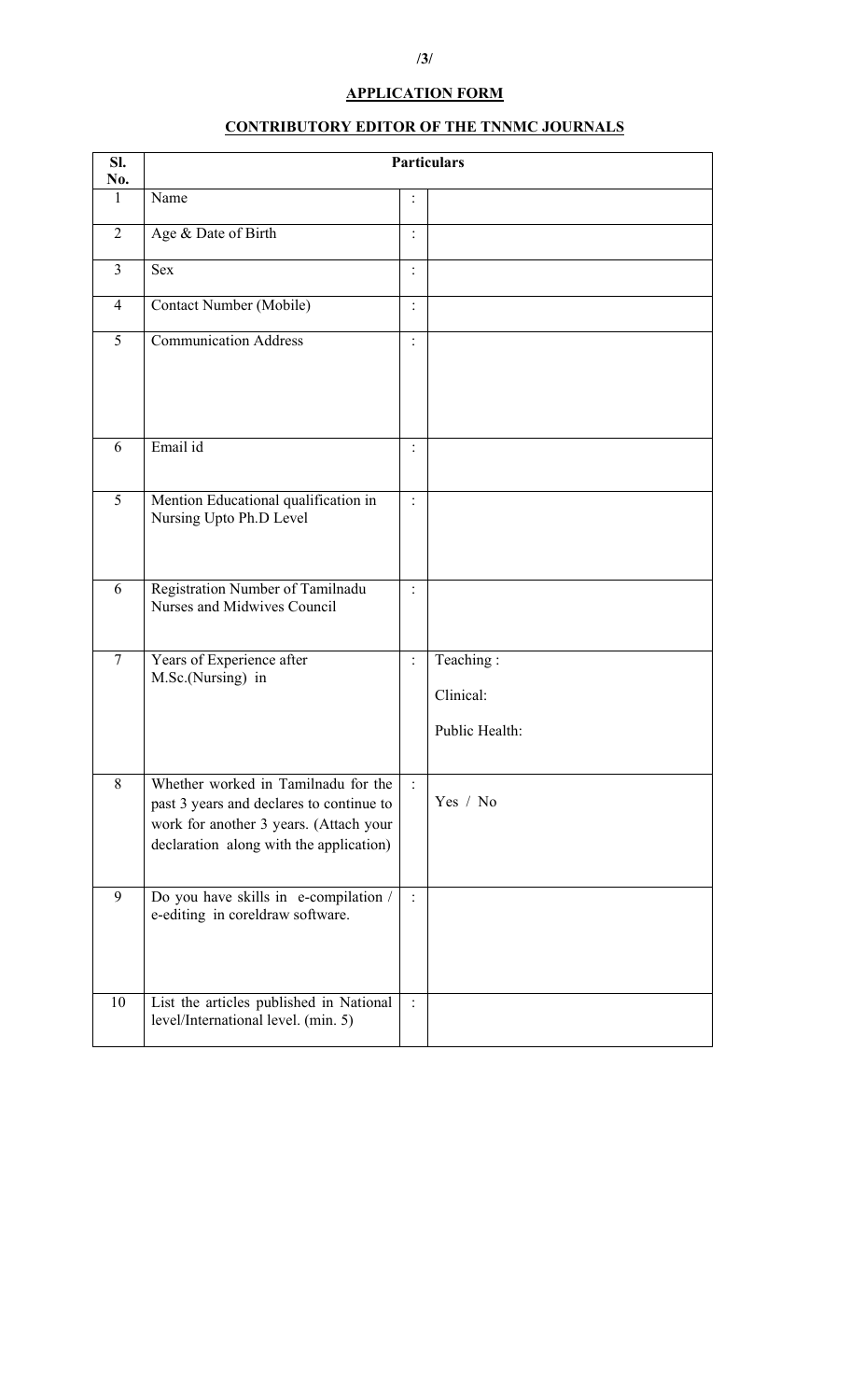## **APPLICATION FORM**

## **CONTRIBUTORY EDITOR OF THE TNNMC JOURNALS**

| SI.<br>No.     | <b>Particulars</b>                                                                                                                                                   |                |                                          |  |  |
|----------------|----------------------------------------------------------------------------------------------------------------------------------------------------------------------|----------------|------------------------------------------|--|--|
| $\mathbf{1}$   | Name                                                                                                                                                                 | $\ddot{\cdot}$ |                                          |  |  |
| $\overline{2}$ | Age & Date of Birth                                                                                                                                                  | $\vdots$       |                                          |  |  |
| $\overline{3}$ | <b>Sex</b>                                                                                                                                                           | $\ddot{\cdot}$ |                                          |  |  |
| $\overline{4}$ | Contact Number (Mobile)                                                                                                                                              | $\vdots$       |                                          |  |  |
| $\overline{5}$ | <b>Communication Address</b>                                                                                                                                         | $\vdots$       |                                          |  |  |
| 6              | Email id                                                                                                                                                             | $\ddot{\cdot}$ |                                          |  |  |
| 5              | Mention Educational qualification in<br>Nursing Upto Ph.D Level                                                                                                      | $\vdots$       |                                          |  |  |
| 6              | Registration Number of Tamilnadu<br>Nurses and Midwives Council                                                                                                      | $\ddot{\cdot}$ |                                          |  |  |
| $\tau$         | Years of Experience after<br>M.Sc.(Nursing) in                                                                                                                       | $\vdots$       | Teaching:<br>Clinical:<br>Public Health: |  |  |
| 8              | Whether worked in Tamilnadu for the<br>past 3 years and declares to continue to<br>work for another 3 years. (Attach your<br>declaration along with the application) |                | Yes / No                                 |  |  |
| 9              | Do you have skills in e-compilation /<br>e-editing in coreldraw software.                                                                                            | $\ddot{\cdot}$ |                                          |  |  |
| 10             | List the articles published in National<br>level/International level. (min. 5)                                                                                       | $\ddot{\cdot}$ |                                          |  |  |